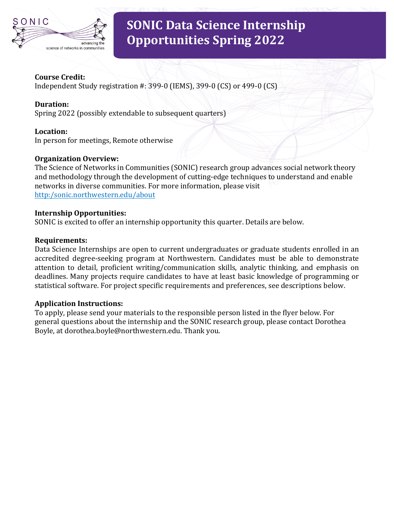

# **SONIC Data Science Internship Opportunities Spring 2022**

#### **Course Credit:**

Independent Study registration  $\#$ : 399-0 (IEMS), 399-0 (CS) or 499-0 (CS)

# **Duration:**

Spring 2022 (possibly extendable to subsequent quarters)

## **Location:**

In person for meetings, Remote otherwise

## **Organization Overview:**

The Science of Networks in Communities (SONIC) research group advances social network theory and methodology through the development of cutting-edge techniques to understand and enable networks in diverse communities. For more information, please visit http:/sonic.northwestern.edu/about

#### **Internship Opportunities:**

SONIC is excited to offer an internship opportunity this quarter. Details are below.

## **Requirements:**

Data Science Internships are open to current undergraduates or graduate students enrolled in an accredited degree-seeking program at Northwestern. Candidates must be able to demonstrate attention to detail, proficient writing/communication skills, analytic thinking, and emphasis on deadlines. Many projects require candidates to have at least basic knowledge of programming or statistical software. For project specific requirements and preferences, see descriptions below.

## **Application Instructions:**

To apply, please send your materials to the responsible person listed in the flyer below. For general questions about the internship and the SONIC research group, please contact Dorothea Boyle, at dorothea.boyle@northwestern.edu. Thank you.